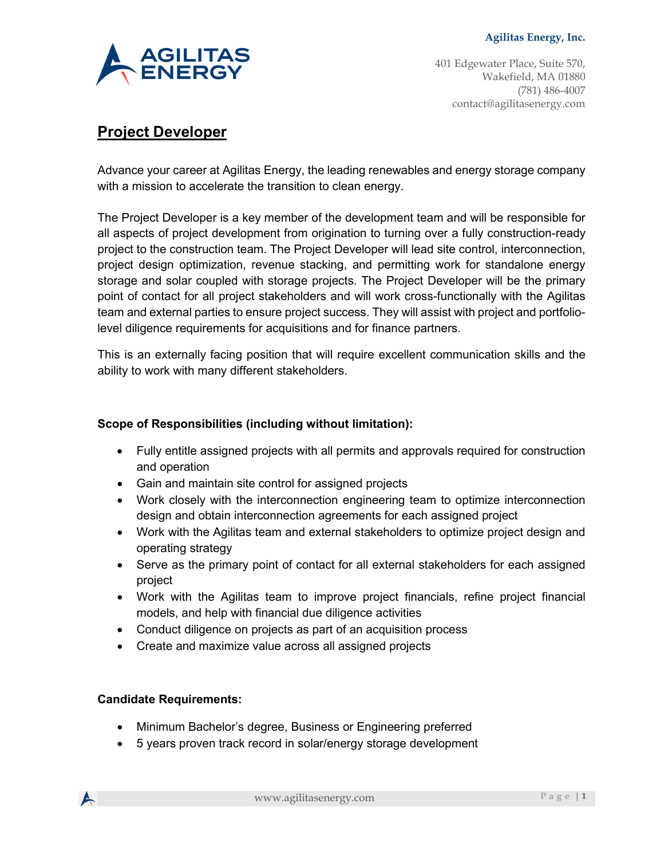

401 Edgewater Place, Suite 570, Wakefield, MA 01880 (781) 486-4007 contact@agilitasenergy.com

# **Project Developer**

Advance your career at Agilitas Energy, the leading renewables and energy storage company with a mission to accelerate the transition to clean energy.

The Project Developer is a key member of the development team and will be responsible for all aspects of project development from origination to turning over a fully construction-ready project to the construction team. The Project Developer will lead site control, interconnection, project design optimization, revenue stacking, and permitting work for standalone energy storage and solar coupled with storage projects. The Project Developer will be the primary point of contact for all project stakeholders and will work cross-functionally with the Agilitas team and external parties to ensure project success. They will assist with project and portfoliolevel diligence requirements for acquisitions and for finance partners.

This is an externally facing position that will require excellent communication skills and the ability to work with many different stakeholders.

## **Scope of Responsibilities (including without limitation):**

- Fully entitle assigned projects with all permits and approvals required for construction and operation
- Gain and maintain site control for assigned projects
- Work closely with the interconnection engineering team to optimize interconnection design and obtain interconnection agreements for each assigned project
- Work with the Agilitas team and external stakeholders to optimize project design and operating strategy
- Serve as the primary point of contact for all external stakeholders for each assigned project
- Work with the Agilitas team to improve project financials, refine project financial models, and help with financial due diligence activities
- Conduct diligence on projects as part of an acquisition process
- Create and maximize value across all assigned projects

#### **Candidate Requirements:**

- Minimum Bachelor's degree, Business or Engineering preferred
- 5 years proven track record in solar/energy storage development